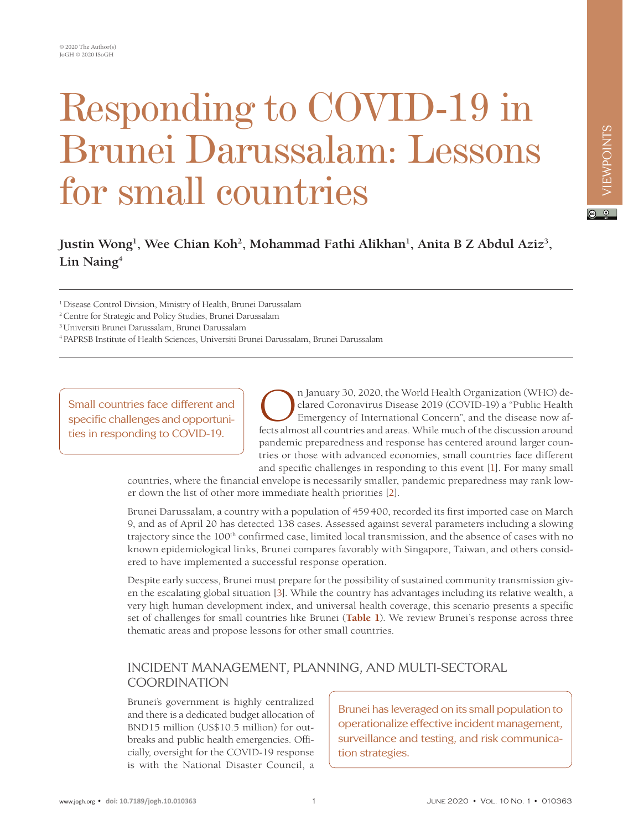# Responding to COVID-19 in Brunei Darussalam: Lessons for small countries

## Justin Wong<sup>1</sup>, Wee Chian Koh<sup>2</sup>, Mohammad Fathi Alikhan<sup>1</sup>, Anita B Z Abdul Aziz<sup>3</sup>, **Lin Naing4**

1 Disease Control Division, Ministry of Health, Brunei Darussalam

2 Centre for Strategic and Policy Studies, Brunei Darussalam

3 Universiti Brunei Darussalam, Brunei Darussalam

4 PAPRSB Institute of Health Sciences, Universiti Brunei Darussalam, Brunei Darussalam

Small countries face different and specific challenges and opportunities in responding to COVID-19.

The January 30, 2020, the World Health Organization (WHO) declared Coronavirus Disease 2019 (COVID-19) a "Public Health Emergency of International Concern", and the disease now affects almost all countries and areas. While clared Coronavirus Disease 2019 (COVID-19) a "Public Health Emergency of International Concern", and the disease now affects almost all countries and areas. While much of the discussion around pandemic preparedness and response has centered around larger countries or those with advanced economies, small countries face different and specific challenges in responding to this event [\[1](#page-3-0)]. For many small

countries, where the financial envelope is necessarily smaller, pandemic preparedness may rank lower down the list of other more immediate health priorities [\[2\]](#page-3-1).

Brunei Darussalam, a country with a population of 459400, recorded its first imported case on March 9, and as of April 20 has detected 138 cases. Assessed against several parameters including a slowing trajectory since the 100<sup>th</sup> confirmed case, limited local transmission, and the absence of cases with no known epidemiological links, Brunei compares favorably with Singapore, Taiwan, and others considered to have implemented a successful response operation.

Despite early success, Brunei must prepare for the possibility of sustained community transmission given the escalating global situation [\[3\]](#page-3-2). While the country has advantages including its relative wealth, a very high human development index, and universal health coverage, this scenario presents a specific set of challenges for small countries like Brunei (**[Table 1](#page-1-0)**). We review Brunei's response across three thematic areas and propose lessons for other small countries.

### INCIDENT MANAGEMENT, PLANNING, AND MULTI-SECTORAL COORDINATION

Brunei's government is highly centralized and there is a dedicated budget allocation of BND15 million (US\$10.5 million) for outbreaks and public health emergencies. Officially, oversight for the COVID-19 response is with the National Disaster Council, a

Brunei has leveraged on its small population to operationalize effective incident management, surveillance and testing, and risk communication strategies.

 $\boxed{6}$  0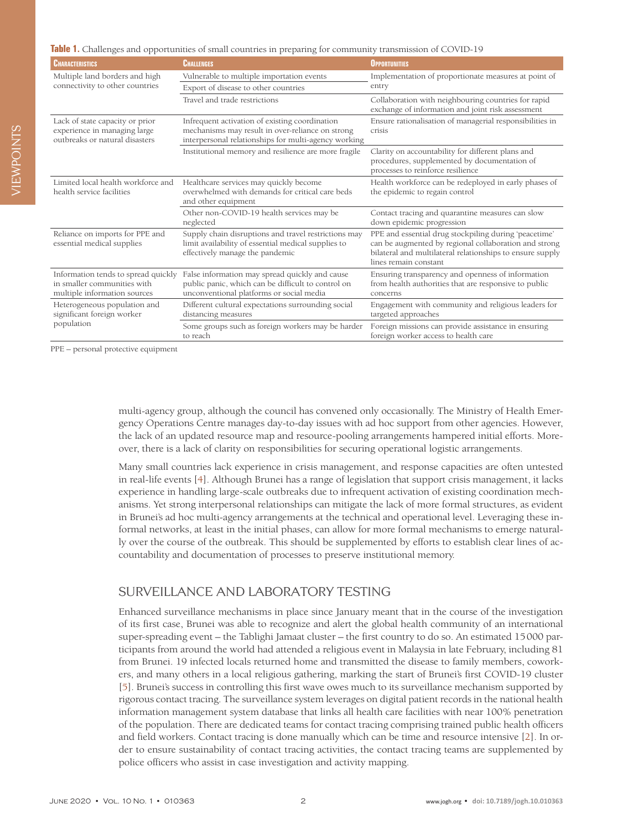<span id="page-1-0"></span>

| Table 1. Challenges and opportunities of small countries in preparing for community transmission of COVID-19 |  |  |  |
|--------------------------------------------------------------------------------------------------------------|--|--|--|
|--------------------------------------------------------------------------------------------------------------|--|--|--|

| <b>CHARACTERISTICS</b>                                                                             | CHALLENGES                                                                                                                                                 | <b>OPPORTUNITIES</b>                                                                                                                                                                                 |  |
|----------------------------------------------------------------------------------------------------|------------------------------------------------------------------------------------------------------------------------------------------------------------|------------------------------------------------------------------------------------------------------------------------------------------------------------------------------------------------------|--|
| Multiple land borders and high<br>connectivity to other countries                                  | Vulnerable to multiple importation events                                                                                                                  | Implementation of proportionate measures at point of<br>entry                                                                                                                                        |  |
|                                                                                                    | Export of disease to other countries                                                                                                                       |                                                                                                                                                                                                      |  |
|                                                                                                    | Travel and trade restrictions                                                                                                                              | Collaboration with neighbouring countries for rapid<br>exchange of information and joint risk assessment                                                                                             |  |
| Lack of state capacity or prior<br>experience in managing large<br>outbreaks or natural disasters  | Infrequent activation of existing coordination<br>mechanisms may result in over-reliance on strong<br>interpersonal relationships for multi-agency working | Ensure rationalisation of managerial responsibilities in<br>crisis                                                                                                                                   |  |
|                                                                                                    | Institutional memory and resilience are more fragile                                                                                                       | Clarity on accountability for different plans and<br>procedures, supplemented by documentation of<br>processes to reinforce resilience                                                               |  |
| Limited local health workforce and<br>health service facilities                                    | Healthcare services may quickly become<br>overwhelmed with demands for critical care beds<br>and other equipment                                           | Health workforce can be redeployed in early phases of<br>the epidemic to regain control                                                                                                              |  |
|                                                                                                    | Other non-COVID-19 health services may be<br>neglected                                                                                                     | Contact tracing and quarantine measures can slow<br>down epidemic progression                                                                                                                        |  |
| Reliance on imports for PPE and<br>essential medical supplies                                      | Supply chain disruptions and travel restrictions may<br>limit availability of essential medical supplies to<br>effectively manage the pandemic             | PPE and essential drug stockpiling during 'peacetime'<br>can be augmented by regional collaboration and strong<br>bilateral and multilateral relationships to ensure supply<br>lines remain constant |  |
| Information tends to spread quickly<br>in smaller communities with<br>multiple information sources | False information may spread quickly and cause<br>public panic, which can be difficult to control on<br>unconventional platforms or social media           | Ensuring transparency and openness of information<br>from health authorities that are responsive to public<br>concerns                                                                               |  |
| Heterogeneous population and<br>significant foreign worker<br>population                           | Different cultural expectations surrounding social<br>distancing measures                                                                                  | Engagement with community and religious leaders for<br>targeted approaches                                                                                                                           |  |
|                                                                                                    | Some groups such as foreign workers may be harder<br>to reach                                                                                              | Foreign missions can provide assistance in ensuring<br>foreign worker access to health care                                                                                                          |  |

PPE – personal protective equipment

multi-agency group, although the council has convened only occasionally. The Ministry of Health Emergency Operations Centre manages day-to-day issues with ad hoc support from other agencies. However, the lack of an updated resource map and resource-pooling arrangements hampered initial efforts. Moreover, there is a lack of clarity on responsibilities for securing operational logistic arrangements.

Many small countries lack experience in crisis management, and response capacities are often untested in real-life events [[4](#page-3-3)]. Although Brunei has a range of legislation that support crisis management, it lacks experience in handling large-scale outbreaks due to infrequent activation of existing coordination mechanisms. Yet strong interpersonal relationships can mitigate the lack of more formal structures, as evident in Brunei's ad hoc multi-agency arrangements at the technical and operational level. Leveraging these informal networks, at least in the initial phases, can allow for more formal mechanisms to emerge naturally over the course of the outbreak. This should be supplemented by efforts to establish clear lines of accountability and documentation of processes to preserve institutional memory.

#### SURVEILLANCE AND LABORATORY TESTING

Enhanced surveillance mechanisms in place since January meant that in the course of the investigation of its first case, Brunei was able to recognize and alert the global health community of an international super-spreading event – the Tablighi Jamaat cluster – the first country to do so. An estimated 15000 participants from around the world had attended a religious event in Malaysia in late February, including 81 from Brunei. 19 infected locals returned home and transmitted the disease to family members, coworkers, and many others in a local religious gathering, marking the start of Brunei's first COVID-19 cluster [[5](#page-3-4)]. Brunei's success in controlling this first wave owes much to its surveillance mechanism supported by rigorous contact tracing. The surveillance system leverages on digital patient records in the national health information management system database that links all health care facilities with near 100% penetration of the population. There are dedicated teams for contact tracing comprising trained public health officers and field workers. Contact tracing is done manually which can be time and resource intensive [\[2](#page-3-1)]. In order to ensure sustainability of contact tracing activities, the contact tracing teams are supplemented by police officers who assist in case investigation and activity mapping.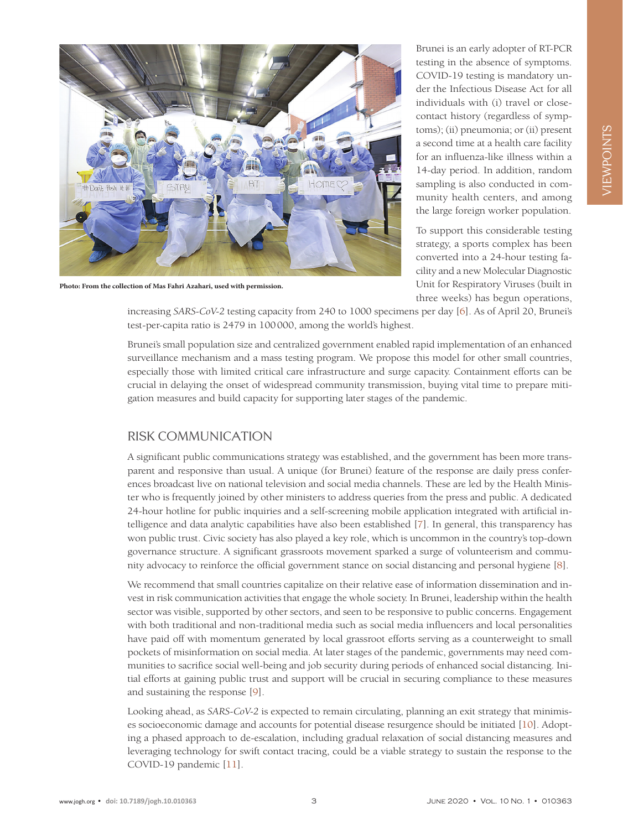

**Photo: From the collection of Mas Fahri Azahari, used with permission.**

Brunei is an early adopter of RT-PCR testing in the absence of symptoms. COVID-19 testing is mandatory under the Infectious Disease Act for all individuals with (i) travel or closecontact history (regardless of symptoms); (ii) pneumonia; or (ii) present a second time at a health care facility for an influenza-like illness within a 14-day period. In addition, random sampling is also conducted in community health centers, and among the large foreign worker population.

To support this considerable testing strategy, a sports complex has been converted into a 24-hour testing facility and a new Molecular Diagnostic Unit for Respiratory Viruses (built in three weeks) has begun operations,

increasing *SARS-CoV-2* testing capacity from 240 to 1000 specimens per day [\[6\]](#page-3-5). As of April 20, Brunei's test-per-capita ratio is 2479 in 100000, among the world's highest.

Brunei's small population size and centralized government enabled rapid implementation of an enhanced surveillance mechanism and a mass testing program. We propose this model for other small countries, especially those with limited critical care infrastructure and surge capacity. Containment efforts can be crucial in delaying the onset of widespread community transmission, buying vital time to prepare mitigation measures and build capacity for supporting later stages of the pandemic.

#### RISK COMMUNICATION

A significant public communications strategy was established, and the government has been more transparent and responsive than usual. A unique (for Brunei) feature of the response are daily press conferences broadcast live on national television and social media channels. These are led by the Health Minister who is frequently joined by other ministers to address queries from the press and public. A dedicated 24-hour hotline for public inquiries and a self-screening mobile application integrated with artificial intelligence and data analytic capabilities have also been established [\[7\]](#page-3-6). In general, this transparency has won public trust. Civic society has also played a key role, which is uncommon in the country's top-down governance structure. A significant grassroots movement sparked a surge of volunteerism and community advocacy to reinforce the official government stance on social distancing and personal hygiene [[8\]](#page-3-7).

We recommend that small countries capitalize on their relative ease of information dissemination and invest in risk communication activities that engage the whole society. In Brunei, leadership within the health sector was visible, supported by other sectors, and seen to be responsive to public concerns. Engagement with both traditional and non-traditional media such as social media influencers and local personalities have paid off with momentum generated by local grassroot efforts serving as a counterweight to small pockets of misinformation on social media. At later stages of the pandemic, governments may need communities to sacrifice social well-being and job security during periods of enhanced social distancing. Initial efforts at gaining public trust and support will be crucial in securing compliance to these measures and sustaining the response [[9\]](#page-3-8).

Looking ahead, as *SARS-CoV-2* is expected to remain circulating, planning an exit strategy that minimises socioeconomic damage and accounts for potential disease resurgence should be initiated [\[10\]](#page-3-9). Adopting a phased approach to de-escalation, including gradual relaxation of social distancing measures and leveraging technology for swift contact tracing, could be a viable strategy to sustain the response to the COVID-19 pandemic [\[11\]](#page-3-10).